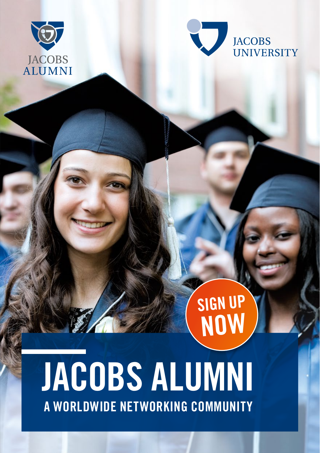



SIGN UP

NOW

# JACOBS ALUMNI A WORLDWIDE NETWORKING COMMUNITY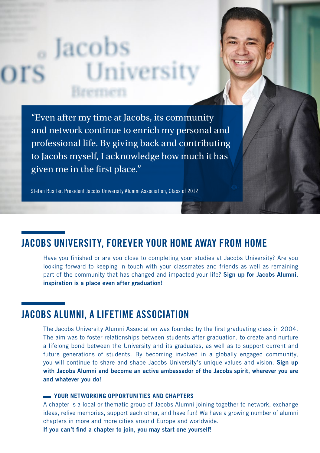# <sub>o</sub> Jacobs Univers

"Even after my time at Jacobs, its community and network continue to enrich my personal and professional life. By giving back and contributing to Jacobs myself, I acknowledge how much it has given me in the first place."

Stefan Rustler, President Jacobs University Alumni Association, Class of 2012

## JACOBS UNIVERSITY, FOREVER YOUR HOME AWAY FROM HOME

Have you finished or are you close to completing your studies at Jacobs University? Are you looking forward to keeping in touch with your classmates and friends as well as remaining part of the community that has changed and impacted your life? Sign up for Jacobs Alumni, inspiration is a place even after graduation!

## JACOBS ALUMNI, A LIFETIME ASSOCIATION

The Jacobs University Alumni Association was founded by the first graduating class in 2004. The aim was to foster relationships between students after graduation, to create and nurture a lifelong bond between the University and its graduates, as well as to support current and future generations of students. By becoming involved in a globally engaged community, you will continue to share and shape Jacobs University's unique values and vision. Sign up with Jacobs Alumni and become an active ambassador of the Jacobs spirit, wherever you are and whatever you do!

#### **YOUR NETWORKING OPPORTUNITIES AND CHAPTERS**

A chapter is a local or thematic group of Jacobs Alumni joining together to network, exchange ideas, relive memories, support each other, and have fun! We have a growing number of alumni chapters in more and more cities around Europe and worldwide.

If you can't find a chapter to join, you may start one yourself!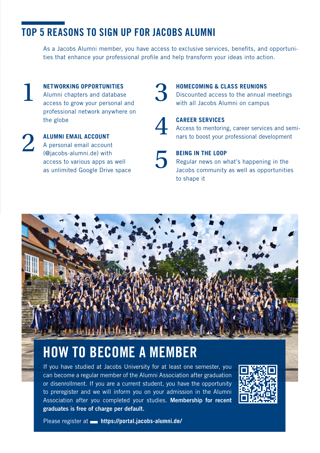# TOP 5 REASONS TO SIGN UP FOR JACOBS ALUMNI

As a Jacobs Alumni member, you have access to exclusive services, benefits, and opportunities that enhance your professional profile and help transform your ideas into action.

- **NETWORKING OPPORTUNITIES**  Alumni chapters and database **ALL METWORKING OPPORTUNITIES**<br>Alumni chapters and database<br>access to grow your personal and professional network anywhere on the globe
- **ALUMNI EMAIL ACCOUNT**  A personal email account (@jacobs-alumni.de) with access to various apps as well as unlimited Google Drive space ALUMNI EMAIL ACCOUNT<br>
A personal email account<br>
(@jacobs-alumni.de) with<br>
access to various apps as well<br>
as unlimited Google Drive space

#### **HOMECOMING & CLASS REUNIONS**

Discounted access to the annual meetings with all Jacobs Alumni on campus



#### **CAREER SERVICES**

Access to mentoring, career services and seminars to boost your professional development



#### **BEING IN THE LOOP**

Regular news on what's happening in the Jacobs community as well as opportunities to shape it



# HOW TO BECOME A MEMBER

If you have studied at Jacobs University for at least one semester, you can become a regular member of the Alumni Association after graduation or disenrollment. If you are a current student, you have the opportunity to preregister and we will inform you on your admission in the Alumni Association after you completed your studies. Membership for recent graduates is free of charge per default.



Please register at **a https://portal.jacobs-alumni.de/**